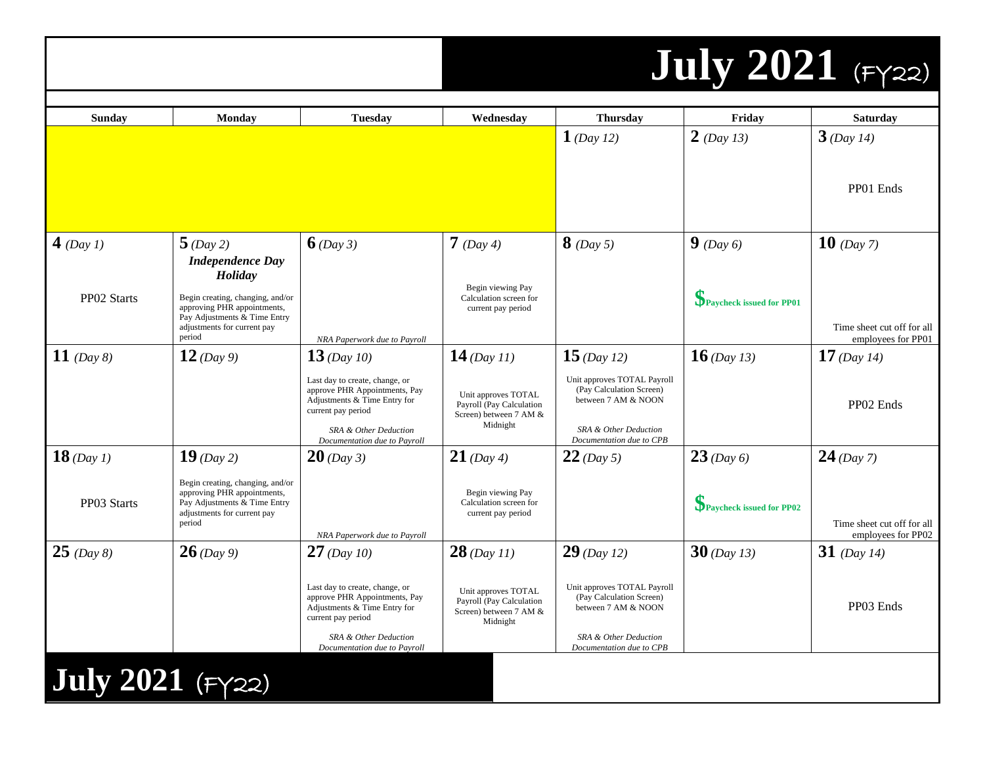### **July 2021** (FY22)

| Sunday           | <b>Monday</b>                                                                                                                            | <b>Tuesday</b>                                                                                                                                 | Wednesday                                                                             | <b>Thursday</b>                                                                                         | Friday                   | <b>Saturday</b>                                  |
|------------------|------------------------------------------------------------------------------------------------------------------------------------------|------------------------------------------------------------------------------------------------------------------------------------------------|---------------------------------------------------------------------------------------|---------------------------------------------------------------------------------------------------------|--------------------------|--------------------------------------------------|
|                  |                                                                                                                                          |                                                                                                                                                |                                                                                       | 1 (Day 12)                                                                                              | $2$ (Day 13)             | $3$ (Day 14)                                     |
|                  |                                                                                                                                          |                                                                                                                                                |                                                                                       |                                                                                                         |                          | PP01 Ends                                        |
| $4$ (Day 1)      | $5$ (Day 2)<br><b>Independence Day</b><br>Holiday                                                                                        | $6$ (Day 3)                                                                                                                                    | $7$ (Day 4)<br>Begin viewing Pay                                                      | $8$ (Day 5)                                                                                             | 9 (Day 6)                | $10$ (Day 7)                                     |
| PP02 Starts      | Begin creating, changing, and/or<br>approving PHR appointments,<br>Pay Adjustments & Time Entry<br>adjustments for current pay<br>period | NRA Paperwork due to Payroll                                                                                                                   | Calculation screen for<br>current pay period                                          |                                                                                                         | Paycheck issued for PP01 | Time sheet cut off for all<br>employees for PP01 |
| 11 $(Day 8)$     | $12$ (Day 9)                                                                                                                             | $13$ (Day 10)<br>Last day to create, change, or<br>approve PHR Appointments, Pay                                                               | $14$ (Day 11)<br>Unit approves TOTAL                                                  | 15 (Day 12)<br>Unit approves TOTAL Payroll<br>(Pay Calculation Screen)                                  | $16$ (Day 13)            | $17$ (Day 14)                                    |
|                  |                                                                                                                                          | Adjustments & Time Entry for<br>current pay period<br>SRA & Other Deduction<br>Documentation due to Payroll                                    | Payroll (Pay Calculation<br>Screen) between 7 AM &<br>Midnight                        | between 7 AM & NOON<br>SRA & Other Deduction<br>Documentation due to CPB                                |                          | PP02 Ends                                        |
| $18$ (Day 1)     | 19 (Day 2)                                                                                                                               | $20$ (Day 3)                                                                                                                                   | $21$ (Day 4)                                                                          | $22$ (Day 5)                                                                                            | $23$ (Day 6)             | $24$ (Day 7)                                     |
| PP03 Starts      | Begin creating, changing, and/or<br>approving PHR appointments,<br>Pay Adjustments & Time Entry<br>adjustments for current pay<br>period | NRA Paperwork due to Payroll                                                                                                                   | Begin viewing Pay<br>Calculation screen for<br>current pay period                     |                                                                                                         | Paycheck issued for PP02 | Time sheet cut off for all<br>employees for PP02 |
| $25 \ (Day 8)$   | $26$ (Day 9)                                                                                                                             | $27$ (Day 10)                                                                                                                                  | $28$ (Day 11)                                                                         | $29$ (Day 12)                                                                                           | $30$ (Day 13)            | 31 (Day 14)                                      |
|                  |                                                                                                                                          | Last day to create, change, or<br>approve PHR Appointments, Pay<br>Adjustments & Time Entry for<br>current pay period<br>SRA & Other Deduction | Unit approves TOTAL<br>Payroll (Pay Calculation<br>Screen) between 7 AM &<br>Midnight | Unit approves TOTAL Payroll<br>(Pay Calculation Screen)<br>between 7 AM & NOON<br>SRA & Other Deduction |                          | PP03 Ends                                        |
|                  |                                                                                                                                          | Documentation due to Payroll                                                                                                                   |                                                                                       | Documentation due to CPB                                                                                |                          |                                                  |
| July 2021 (FY22) |                                                                                                                                          |                                                                                                                                                |                                                                                       |                                                                                                         |                          |                                                  |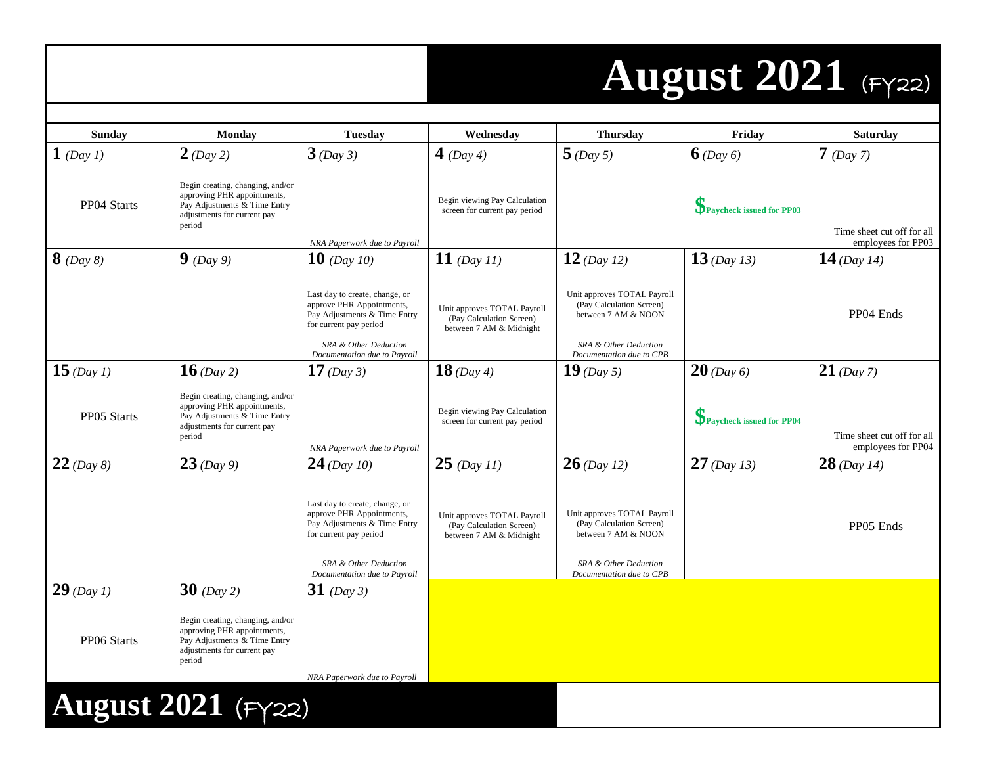### **August 2021** (FY22)

| Sunday       | Monday                                                                                                                                   | <b>Tuesday</b>                                                                                                                                                                 | Wednesday                                                                          | <b>Thursday</b>                                                                                                                     | Friday                   | <b>Saturday</b>                                  |
|--------------|------------------------------------------------------------------------------------------------------------------------------------------|--------------------------------------------------------------------------------------------------------------------------------------------------------------------------------|------------------------------------------------------------------------------------|-------------------------------------------------------------------------------------------------------------------------------------|--------------------------|--------------------------------------------------|
| $1$ (Day 1)  | $2$ (Day 2)                                                                                                                              | $3$ (Day 3)                                                                                                                                                                    | 4 (Day 4)                                                                          | $5$ (Day 5)                                                                                                                         | $6$ (Day 6)              | $7$ (Day 7)                                      |
| PP04 Starts  | Begin creating, changing, and/or<br>approving PHR appointments,<br>Pay Adjustments & Time Entry<br>adjustments for current pay<br>period | NRA Paperwork due to Payroll                                                                                                                                                   | Begin viewing Pay Calculation<br>screen for current pay period                     |                                                                                                                                     | Paycheck issued for PP03 | Time sheet cut off for all<br>employees for PP03 |
| $8$ (Day 8)  | $9$ (Day 9)                                                                                                                              | <b>10</b> (Day 10)                                                                                                                                                             | 11 (Day 11)                                                                        | $12$ (Day 12)                                                                                                                       | $13$ (Day 13)            | 14 (Day 14)                                      |
|              |                                                                                                                                          | Last day to create, change, or<br>approve PHR Appointments,<br>Pay Adjustments & Time Entry<br>for current pay period<br>SRA & Other Deduction<br>Documentation due to Payroll | Unit approves TOTAL Payroll<br>(Pay Calculation Screen)<br>between 7 AM & Midnight | Unit approves TOTAL Payroll<br>(Pay Calculation Screen)<br>between 7 AM & NOON<br>SRA & Other Deduction<br>Documentation due to CPB |                          | PP04 Ends                                        |
| 15 (Day 1)   | $16$ (Day 2)                                                                                                                             | 17 (Day 3)                                                                                                                                                                     | 18 (Day 4)                                                                         | 19 (Day 5)                                                                                                                          | $20$ (Day 6)             | $21$ (Day 7)                                     |
| PP05 Starts  | Begin creating, changing, and/or<br>approving PHR appointments,<br>Pay Adjustments & Time Entry<br>adjustments for current pay<br>period | NRA Paperwork due to Payroll                                                                                                                                                   | Begin viewing Pay Calculation<br>screen for current pay period                     |                                                                                                                                     | Paycheck issued for PP04 | Time sheet cut off for all<br>employees for PP04 |
| $22$ (Day 8) | $23$ (Day 9)                                                                                                                             | $24$ (Day 10)                                                                                                                                                                  | $25$ (Day 11)                                                                      | $26$ (Day 12)                                                                                                                       | $27$ (Day 13)            | $28$ (Day 14)                                    |
|              |                                                                                                                                          | Last day to create, change, or<br>approve PHR Appointments,<br>Pay Adjustments & Time Entry<br>for current pay period<br>SRA & Other Deduction                                 | Unit approves TOTAL Payroll<br>(Pay Calculation Screen)<br>between 7 AM & Midnight | Unit approves TOTAL Payroll<br>(Pay Calculation Screen)<br>between 7 AM & NOON<br>SRA & Other Deduction                             |                          | PP05 Ends                                        |
| $29$ (Day 1) | $30$ (Day 2)                                                                                                                             | Documentation due to Payroll<br>$31$ (Day 3)                                                                                                                                   |                                                                                    | Documentation due to CPB                                                                                                            |                          |                                                  |
| PP06 Starts  | Begin creating, changing, and/or<br>approving PHR appointments,<br>Pay Adjustments & Time Entry<br>adjustments for current pay<br>period | NRA Paperwork due to Payroll                                                                                                                                                   |                                                                                    |                                                                                                                                     |                          |                                                  |
|              | August 2021 $(Fyzz)$                                                                                                                     |                                                                                                                                                                                |                                                                                    |                                                                                                                                     |                          |                                                  |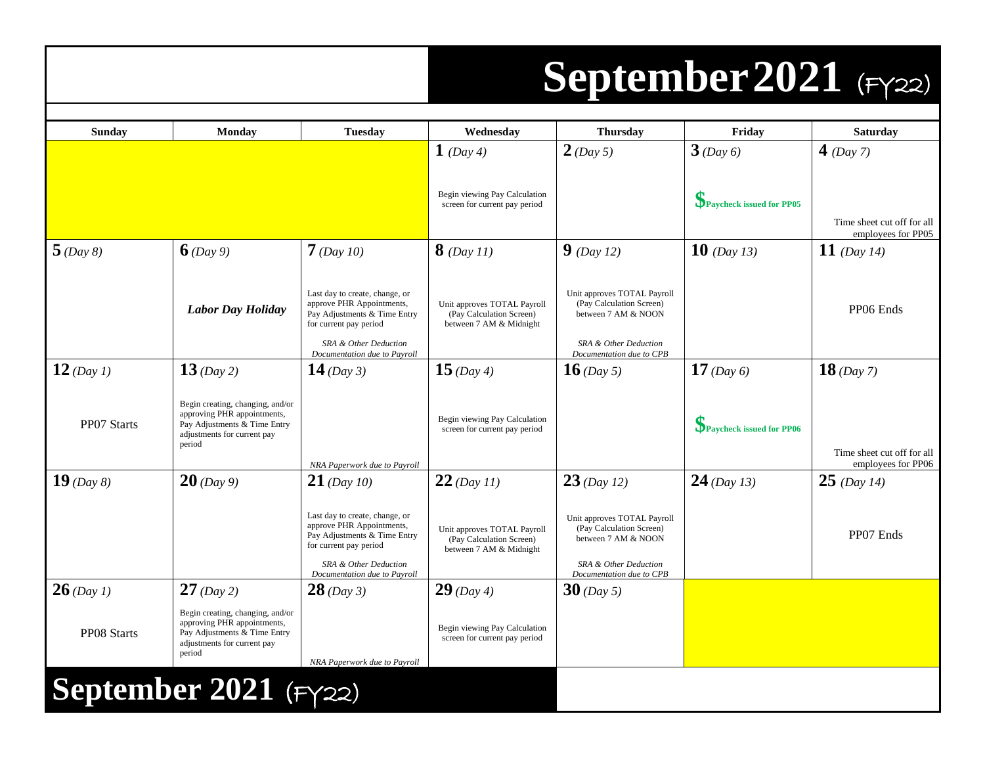#### **September2021** (FY22)

| Sunday       | Monday                                                                                                                                   | Tuesday                                                                                                                                                                        | Wednesday                                                                          | <b>Thursday</b>                                                                                                                     | Friday                   | <b>Saturday</b>                                  |
|--------------|------------------------------------------------------------------------------------------------------------------------------------------|--------------------------------------------------------------------------------------------------------------------------------------------------------------------------------|------------------------------------------------------------------------------------|-------------------------------------------------------------------------------------------------------------------------------------|--------------------------|--------------------------------------------------|
|              |                                                                                                                                          |                                                                                                                                                                                | $1$ (Day 4)                                                                        | $2$ (Day 5)                                                                                                                         | $3$ (Day 6)              | 4 (Day 7)                                        |
|              |                                                                                                                                          |                                                                                                                                                                                | Begin viewing Pay Calculation<br>screen for current pay period                     |                                                                                                                                     | Paycheck issued for PP05 | Time sheet cut off for all<br>employees for PP05 |
| 5(Day 8)     | $6$ (Day 9)                                                                                                                              | $7$ (Day 10)                                                                                                                                                                   | $8$ (Day 11)                                                                       | $9$ (Day 12)                                                                                                                        | $10$ (Day 13)            | 11 (Day 14)                                      |
|              | <b>Labor Day Holiday</b>                                                                                                                 | Last day to create, change, or<br>approve PHR Appointments,<br>Pay Adjustments & Time Entry<br>for current pay period<br>SRA & Other Deduction<br>Documentation due to Payroll | Unit approves TOTAL Payroll<br>(Pay Calculation Screen)<br>between 7 AM & Midnight | Unit approves TOTAL Payroll<br>(Pay Calculation Screen)<br>between 7 AM & NOON<br>SRA & Other Deduction<br>Documentation due to CPB |                          | PP06 Ends                                        |
| $12$ (Day 1) | $13$ (Day 2)                                                                                                                             | 14 (Day 3)                                                                                                                                                                     | $15$ (Day 4)                                                                       | <b>16</b> (Day 5)                                                                                                                   | $17$ (Day 6)             | $18$ (Day 7)                                     |
| PP07 Starts  | Begin creating, changing, and/or<br>approving PHR appointments,<br>Pay Adjustments & Time Entry<br>adjustments for current pay<br>period | NRA Paperwork due to Payroll                                                                                                                                                   | Begin viewing Pay Calculation<br>screen for current pay period                     |                                                                                                                                     | Paycheck issued for PP06 | Time sheet cut off for all<br>employees for PP06 |
| $19$ (Day 8) | $20$ (Day 9)                                                                                                                             | $21$ (Day 10)                                                                                                                                                                  | $22$ (Day 11)                                                                      | $23$ (Day 12)                                                                                                                       | $24$ (Day 13)            | $25$ (Day 14)                                    |
|              |                                                                                                                                          | Last day to create, change, or<br>approve PHR Appointments,<br>Pay Adjustments & Time Entry<br>for current pay period<br>SRA & Other Deduction<br>Documentation due to Payroll | Unit approves TOTAL Payroll<br>(Pay Calculation Screen)<br>between 7 AM & Midnight | Unit approves TOTAL Payroll<br>(Pay Calculation Screen)<br>between 7 AM & NOON<br>SRA & Other Deduction<br>Documentation due to CPB |                          | PP07 Ends                                        |
| $26$ (Day 1) | $27$ (Day 2)                                                                                                                             | $28$ (Day 3)                                                                                                                                                                   | $29$ (Day 4)                                                                       | $30$ (Day 5)                                                                                                                        |                          |                                                  |
| PP08 Starts  | Begin creating, changing, and/or<br>approving PHR appointments,<br>Pay Adjustments & Time Entry<br>adjustments for current pay<br>period | NRA Paperwork due to Payroll                                                                                                                                                   | Begin viewing Pay Calculation<br>screen for current pay period                     |                                                                                                                                     |                          |                                                  |
|              | September 2021 $(Fyzz)$                                                                                                                  |                                                                                                                                                                                |                                                                                    |                                                                                                                                     |                          |                                                  |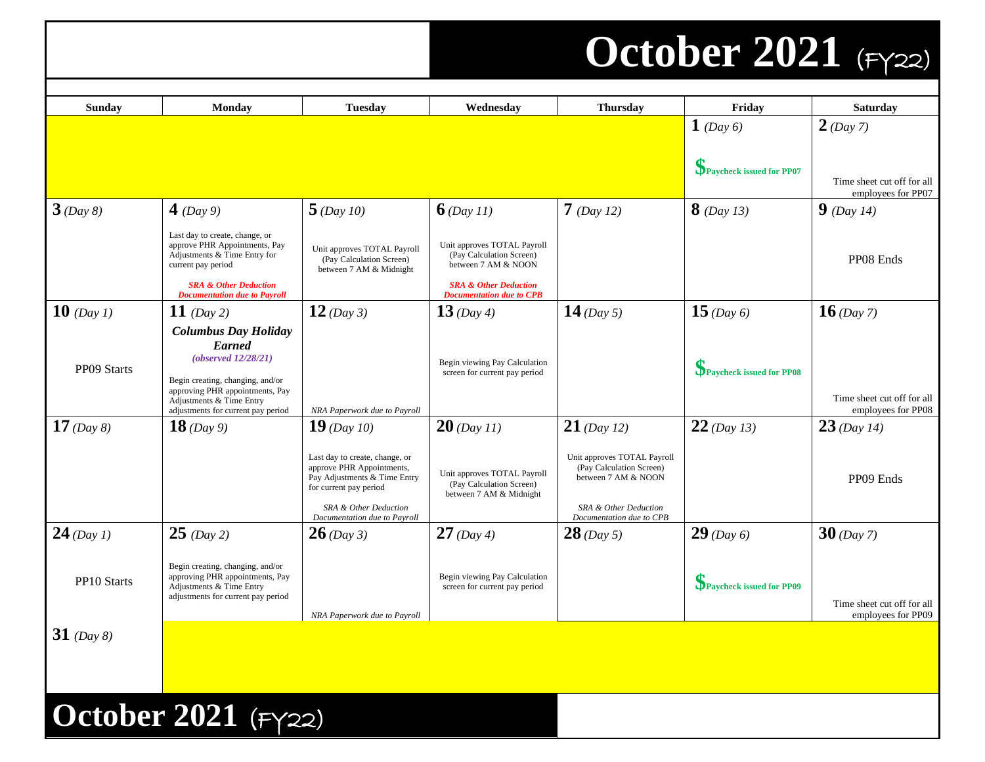#### **October 2021** (FY22)

| <b>Sunday</b> | <b>Monday</b>                                                                                                                                                                                                | <b>Tuesday</b>                                                                                                                                                                 | Wednesday                                                                                                          | <b>Thursday</b>                                                                                                                     | Friday                   | <b>Saturday</b>                                  |
|---------------|--------------------------------------------------------------------------------------------------------------------------------------------------------------------------------------------------------------|--------------------------------------------------------------------------------------------------------------------------------------------------------------------------------|--------------------------------------------------------------------------------------------------------------------|-------------------------------------------------------------------------------------------------------------------------------------|--------------------------|--------------------------------------------------|
|               |                                                                                                                                                                                                              |                                                                                                                                                                                |                                                                                                                    |                                                                                                                                     | 1 (Day 6)                | $2$ (Day 7)                                      |
|               |                                                                                                                                                                                                              |                                                                                                                                                                                |                                                                                                                    |                                                                                                                                     | Paycheck issued for PP07 | Time sheet cut off for all<br>employees for PP07 |
| $3$ (Day 8)   | 4 (Day 9)                                                                                                                                                                                                    | $5$ (Day 10)                                                                                                                                                                   | 6(Day 11)                                                                                                          | $7$ (Day 12)                                                                                                                        | $8$ (Day 13)             | <b>9</b> (Day 14)                                |
|               | Last day to create, change, or<br>approve PHR Appointments, Pay<br>Adjustments & Time Entry for<br>current pay period<br><b>SRA &amp; Other Deduction</b>                                                    | Unit approves TOTAL Payroll<br>(Pay Calculation Screen)<br>between 7 AM & Midnight                                                                                             | Unit approves TOTAL Payroll<br>(Pay Calculation Screen)<br>between 7 AM & NOON<br><b>SRA &amp; Other Deduction</b> |                                                                                                                                     |                          | PP08 Ends                                        |
| 10 (Day 1)    | <b>Documentation due to Payroll</b><br>11 (Day 2)                                                                                                                                                            | $12$ (Day 3)                                                                                                                                                                   | <b>Documentation due to CPB</b><br>13 (Day 4)                                                                      | 14 (Day 5)                                                                                                                          | 15 (Day 6)               | $16$ (Day 7)                                     |
| PP09 Starts   | <b>Columbus Day Holiday</b><br><b>Earned</b><br>(observed 12/28/21)<br>Begin creating, changing, and/or<br>approving PHR appointments, Pay<br>Adjustments & Time Entry<br>adjustments for current pay period | NRA Paperwork due to Payroll                                                                                                                                                   | Begin viewing Pay Calculation<br>screen for current pay period                                                     |                                                                                                                                     | Paycheck issued for PP08 | Time sheet cut off for all<br>employees for PP08 |
| 17 (Day 8)    | $18$ (Day 9)                                                                                                                                                                                                 | $19$ (Day 10)                                                                                                                                                                  | $20$ (Day 11)                                                                                                      | $21$ (Day 12)                                                                                                                       | $22$ (Day 13)            | $23$ (Day 14)                                    |
|               |                                                                                                                                                                                                              | Last day to create, change, or<br>approve PHR Appointments,<br>Pay Adjustments & Time Entry<br>for current pay period<br>SRA & Other Deduction<br>Documentation due to Payroll | Unit approves TOTAL Payroll<br>(Pay Calculation Screen)<br>between 7 AM & Midnight                                 | Unit approves TOTAL Payroll<br>(Pay Calculation Screen)<br>between 7 AM & NOON<br>SRA & Other Deduction<br>Documentation due to CPB |                          | PP09 Ends                                        |
| $24$ (Day 1)  | $25$ (Day 2)                                                                                                                                                                                                 | $26$ (Day 3)                                                                                                                                                                   | $27$ (Day 4)                                                                                                       | $28$ (Day 5)                                                                                                                        | $29$ (Day 6)             | $30$ (Day 7)                                     |
| PP10 Starts   | Begin creating, changing, and/or<br>approving PHR appointments, Pay<br>Adjustments & Time Entry<br>adjustments for current pay period                                                                        | NRA Paperwork due to Payroll                                                                                                                                                   | Begin viewing Pay Calculation<br>screen for current pay period                                                     |                                                                                                                                     | Paycheck issued for PP09 | Time sheet cut off for all<br>employees for PP09 |
| 31 (Day 8)    |                                                                                                                                                                                                              |                                                                                                                                                                                |                                                                                                                    |                                                                                                                                     |                          |                                                  |
|               |                                                                                                                                                                                                              |                                                                                                                                                                                |                                                                                                                    |                                                                                                                                     |                          |                                                  |
|               | October 2021 (FY22)                                                                                                                                                                                          |                                                                                                                                                                                |                                                                                                                    |                                                                                                                                     |                          |                                                  |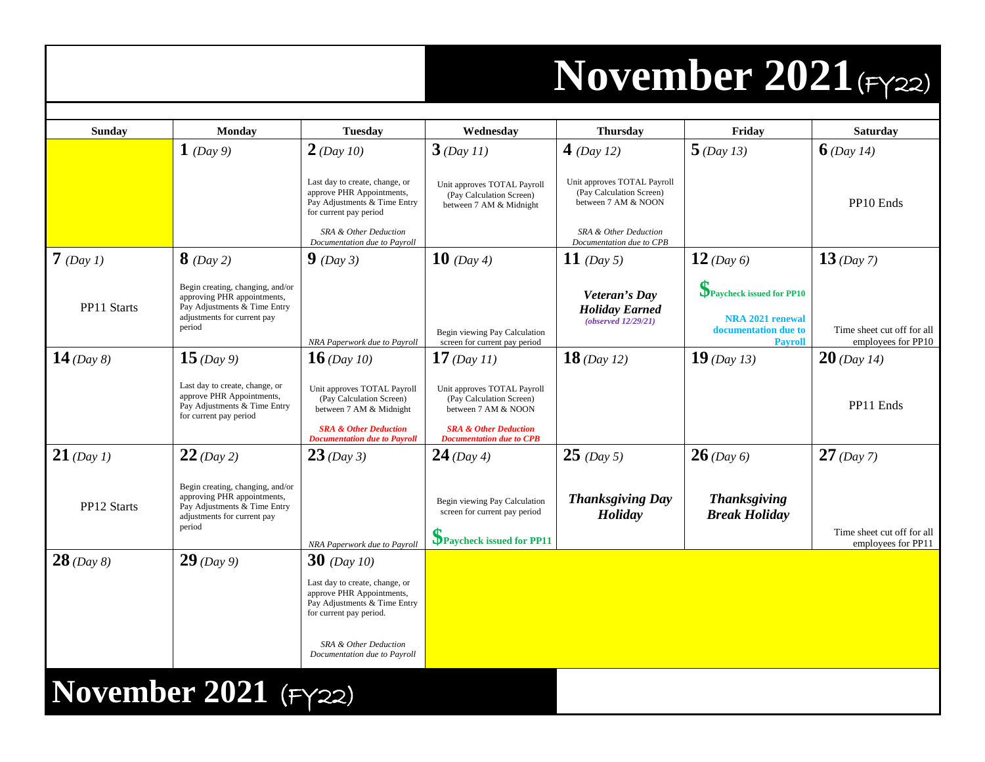#### **November 2021**(FY22)

| Sunday       | <b>Monday</b>                                                                                                                            | <b>Tuesday</b>                                                                                                                                                                  | Wednesday                                                                                                                                             | <b>Thursday</b>                                                                                                                     | Friday                                                                                                    | <b>Saturday</b>                                  |
|--------------|------------------------------------------------------------------------------------------------------------------------------------------|---------------------------------------------------------------------------------------------------------------------------------------------------------------------------------|-------------------------------------------------------------------------------------------------------------------------------------------------------|-------------------------------------------------------------------------------------------------------------------------------------|-----------------------------------------------------------------------------------------------------------|--------------------------------------------------|
|              | 1 (Day 9)                                                                                                                                | $2$ (Day 10)                                                                                                                                                                    | $3$ (Day 11)                                                                                                                                          | 4 (Day 12)                                                                                                                          | $5$ (Day 13)                                                                                              | $6$ (Day 14)                                     |
|              |                                                                                                                                          | Last day to create, change, or<br>approve PHR Appointments,<br>Pay Adjustments & Time Entry<br>for current pay period<br>SRA & Other Deduction<br>Documentation due to Payroll  | Unit approves TOTAL Payroll<br>(Pay Calculation Screen)<br>between 7 AM & Midnight                                                                    | Unit approves TOTAL Payroll<br>(Pay Calculation Screen)<br>between 7 AM & NOON<br>SRA & Other Deduction<br>Documentation due to CPB |                                                                                                           | PP10 Ends                                        |
| $7$ (Day 1)  | $8$ (Day 2)                                                                                                                              | $9$ (Day 3)                                                                                                                                                                     | <b>10</b> (Day 4)                                                                                                                                     | 11 (Day 5)                                                                                                                          | 12 (Day 6)                                                                                                | $13$ (Day 7)                                     |
| PP11 Starts  | Begin creating, changing, and/or<br>approving PHR appointments,<br>Pay Adjustments & Time Entry<br>adjustments for current pay<br>period | NRA Paperwork due to Payroll                                                                                                                                                    | Begin viewing Pay Calculation<br>screen for current pay period                                                                                        | Veteran's Day<br><b>Holiday Earned</b><br>(observed 12/29/21)                                                                       | <b>S</b><br>Paycheck issued for PP10<br><b>NRA 2021 renewal</b><br>documentation due to<br><b>Payroll</b> | Time sheet cut off for all<br>employees for PP10 |
| 14 (Day 8)   | $15$ (Day 9)                                                                                                                             | <b>16</b> (Day 10)                                                                                                                                                              | 17 (Day 11)                                                                                                                                           | $18$ (Day 12)                                                                                                                       | $19$ (Day 13)                                                                                             | $20$ (Day 14)                                    |
|              | Last day to create, change, or<br>approve PHR Appointments,<br>Pay Adjustments & Time Entry<br>for current pay period                    | Unit approves TOTAL Payroll<br>(Pay Calculation Screen)<br>between 7 AM & Midnight<br><b>SRA &amp; Other Deduction</b><br><b>Documentation due to Payroll</b>                   | Unit approves TOTAL Payroll<br>(Pay Calculation Screen)<br>between 7 AM & NOON<br><b>SRA &amp; Other Deduction</b><br><b>Documentation due to CPB</b> |                                                                                                                                     |                                                                                                           | PP11 Ends                                        |
| $21$ (Day 1) | $22$ (Day 2)                                                                                                                             | $23$ (Day 3)                                                                                                                                                                    | $24$ (Day 4)                                                                                                                                          | $25$ (Day 5)                                                                                                                        | $26$ (Day 6)                                                                                              | $27$ (Day 7)                                     |
| PP12 Starts  | Begin creating, changing, and/or<br>approving PHR appointments,<br>Pay Adjustments & Time Entry<br>adjustments for current pay<br>period |                                                                                                                                                                                 | Begin viewing Pay Calculation<br>screen for current pay period<br>Paycheck issued for PP11                                                            | <b>Thanksgiving Day</b><br>Holiday                                                                                                  | <b>Thanksgiving</b><br><b>Break Holiday</b>                                                               | Time sheet cut off for all<br>employees for PP11 |
| $28$ (Day 8) | $29$ (Day 9)                                                                                                                             | NRA Paperwork due to Payroll<br><b>30</b> (Day 10)                                                                                                                              |                                                                                                                                                       |                                                                                                                                     |                                                                                                           |                                                  |
|              |                                                                                                                                          | Last day to create, change, or<br>approve PHR Appointments,<br>Pay Adjustments & Time Entry<br>for current pay period.<br>SRA & Other Deduction<br>Documentation due to Payroll |                                                                                                                                                       |                                                                                                                                     |                                                                                                           |                                                  |
|              | November 2021 (FY22)                                                                                                                     |                                                                                                                                                                                 |                                                                                                                                                       |                                                                                                                                     |                                                                                                           |                                                  |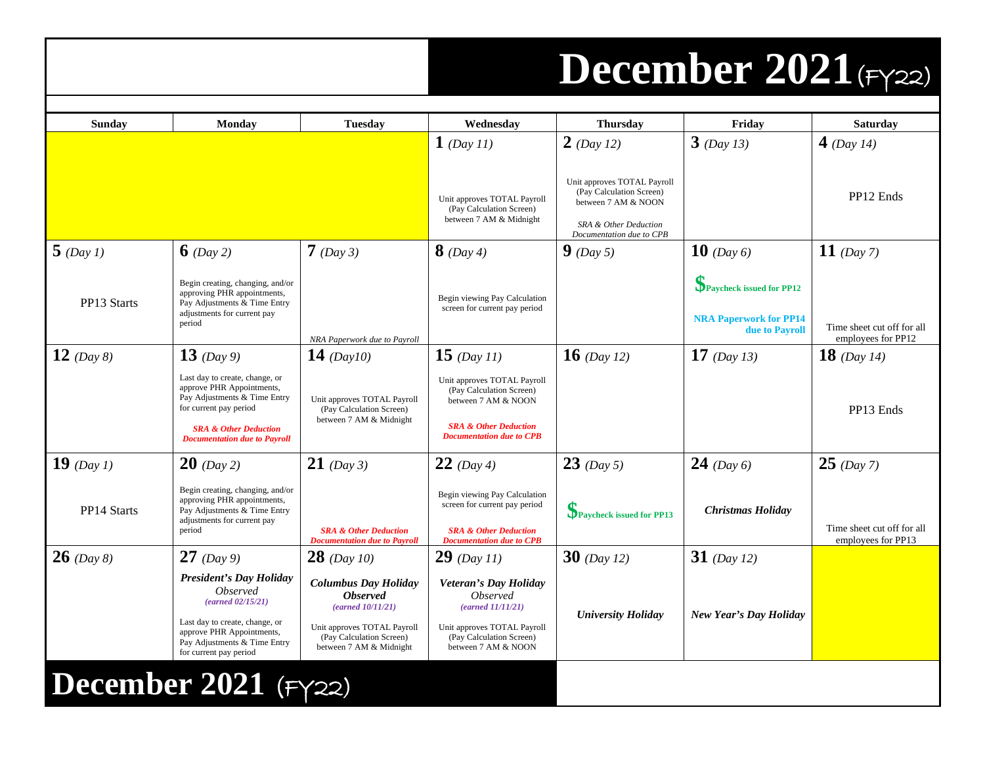### **December 2021**(FY22)

| Sunday                   | Monday                                                                                                                                                                                                    | <b>Tuesday</b>                                                                                                                                            | Wednesday                                                                                                                                              | <b>Thursday</b>                                                                                                                     | Friday                                                                      | <b>Saturday</b>                                  |
|--------------------------|-----------------------------------------------------------------------------------------------------------------------------------------------------------------------------------------------------------|-----------------------------------------------------------------------------------------------------------------------------------------------------------|--------------------------------------------------------------------------------------------------------------------------------------------------------|-------------------------------------------------------------------------------------------------------------------------------------|-----------------------------------------------------------------------------|--------------------------------------------------|
|                          |                                                                                                                                                                                                           |                                                                                                                                                           | 1 (Day 11)                                                                                                                                             | $2$ (Day 12)                                                                                                                        | $3$ (Day 13)                                                                | 4 (Day 14)                                       |
|                          |                                                                                                                                                                                                           |                                                                                                                                                           | Unit approves TOTAL Payroll<br>(Pay Calculation Screen)<br>between 7 AM & Midnight                                                                     | Unit approves TOTAL Payroll<br>(Pay Calculation Screen)<br>between 7 AM & NOON<br>SRA & Other Deduction<br>Documentation due to CPB |                                                                             | PP12 Ends                                        |
| $5$ (Day 1)              | 6 (Day 2)                                                                                                                                                                                                 | $7$ (Day 3)                                                                                                                                               | <b>8</b> (Day 4)                                                                                                                                       | $9$ (Day 5)                                                                                                                         | <b>10</b> (Day 6)                                                           | 11 (Day 7)                                       |
| PP13 Starts              | Begin creating, changing, and/or<br>approving PHR appointments,<br>Pay Adjustments & Time Entry<br>adjustments for current pay<br>period                                                                  | NRA Paperwork due to Payroll                                                                                                                              | Begin viewing Pay Calculation<br>screen for current pay period                                                                                         |                                                                                                                                     | Paycheck issued for PP12<br><b>NRA Paperwork for PP14</b><br>due to Payroll | Time sheet cut off for all<br>employees for PP12 |
| 12 (Day 8)               | 13 (Day 9)                                                                                                                                                                                                | 14 (Day 10)                                                                                                                                               | 15 $(Day 11)$                                                                                                                                          | <b>16</b> (Day 12)                                                                                                                  | 17 (Day 13)                                                                 | 18 (Day 14)                                      |
|                          | Last day to create, change, or<br>approve PHR Appointments,<br>Pay Adjustments & Time Entry<br>for current pay period<br><b>SRA &amp; Other Deduction</b><br><b>Documentation due to Payroll</b>          | Unit approves TOTAL Payroll<br>(Pay Calculation Screen)<br>between 7 AM & Midnight                                                                        | Unit approves TOTAL Payroll<br>(Pay Calculation Screen)<br>between 7 AM & NOON<br><b>SRA &amp; Other Deduction</b><br><b>Documentation due to CPB</b>  |                                                                                                                                     |                                                                             | PP13 Ends                                        |
| 19 (Day 1)               | $20$ (Day 2)                                                                                                                                                                                              | <b>21</b> (Day 3)                                                                                                                                         | 22 (Day 4)                                                                                                                                             | $23$ (Day 5)                                                                                                                        | <b>24</b> (Day 6)                                                           | $25$ (Day 7)                                     |
| PP14 Starts              | Begin creating, changing, and/or<br>approving PHR appointments,<br>Pay Adjustments & Time Entry<br>adjustments for current pay<br>period                                                                  | <b>SRA &amp; Other Deduction</b><br><b>Documentation due to Payroll</b>                                                                                   | Begin viewing Pay Calculation<br>screen for current pay period<br><b>SRA &amp; Other Deduction</b><br><b>Documentation due to CPB</b>                  | Paycheck issued for PP13                                                                                                            | <b>Christmas Holiday</b>                                                    | Time sheet cut off for all<br>employees for PP13 |
| $26$ (Day 8)             | <b>27</b> (Day 9)                                                                                                                                                                                         | $28$ (Day 10)                                                                                                                                             | $29$ (Day 11)                                                                                                                                          | $30$ (Day 12)                                                                                                                       | 31 (Day 12)                                                                 |                                                  |
|                          | <b>President's Day Holiday</b><br><i><b>Observed</b></i><br>$(earned\ 02/15/21)$<br>Last day to create, change, or<br>approve PHR Appointments,<br>Pay Adjustments & Time Entry<br>for current pay period | <b>Columbus Day Holiday</b><br><b>Observed</b><br>(earned 10/11/21)<br>Unit approves TOTAL Payroll<br>(Pay Calculation Screen)<br>between 7 AM & Midnight | Veteran's Day Holiday<br><i><b>Observed</b></i><br>(earned 11/11/21)<br>Unit approves TOTAL Payroll<br>(Pay Calculation Screen)<br>between 7 AM & NOON | <b>University Holiday</b>                                                                                                           | New Year's Day Holiday                                                      |                                                  |
| December 2021 ( $Fyz2$ ) |                                                                                                                                                                                                           |                                                                                                                                                           |                                                                                                                                                        |                                                                                                                                     |                                                                             |                                                  |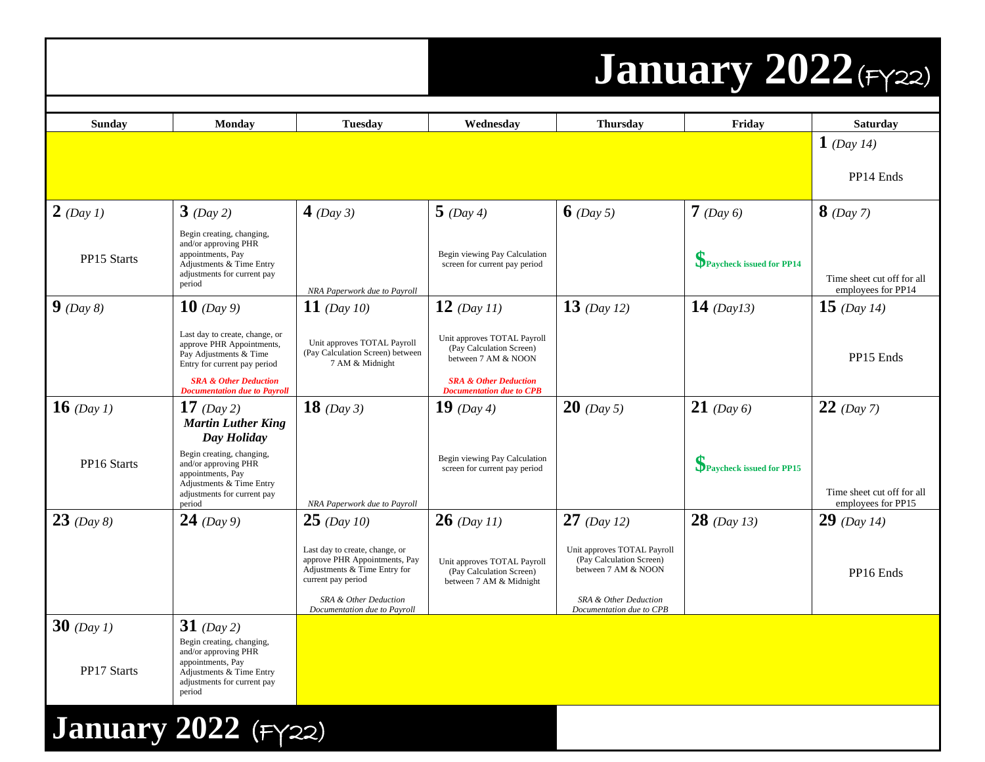#### **January 2022**(FY22)

| <b>Sunday</b>              | <b>Monday</b>                                               | <b>Tuesday</b>                                                  | Wednesday                                                      | <b>Thursday</b>                                         | Friday                   | <b>Saturdav</b>                                  |
|----------------------------|-------------------------------------------------------------|-----------------------------------------------------------------|----------------------------------------------------------------|---------------------------------------------------------|--------------------------|--------------------------------------------------|
|                            |                                                             |                                                                 |                                                                |                                                         |                          | $1$ (Day 14)                                     |
|                            |                                                             |                                                                 |                                                                |                                                         |                          |                                                  |
|                            |                                                             |                                                                 |                                                                |                                                         |                          | PP14 Ends                                        |
| $2$ (Day 1)                | $3$ (Day 2)                                                 | 4 (Day 3)                                                       | $5$ (Day 4)                                                    | 6 (Day 5)                                               | $7$ (Day 6)              | $8$ (Day 7)                                      |
|                            |                                                             |                                                                 |                                                                |                                                         |                          |                                                  |
|                            | Begin creating, changing,<br>and/or approving PHR           |                                                                 |                                                                |                                                         |                          |                                                  |
| PP15 Starts                | appointments, Pay<br>Adjustments & Time Entry               |                                                                 | Begin viewing Pay Calculation<br>screen for current pay period |                                                         | Paycheck issued for PP14 |                                                  |
|                            | adjustments for current pay<br>period                       |                                                                 |                                                                |                                                         |                          | Time sheet cut off for all<br>employees for PP14 |
| $\int$ (Day 8)             | <b>10</b> (Day 9)                                           | NRA Paperwork due to Payroll<br>$11$ (Day 10)                   | $12$ (Day 11)                                                  | 13 (Day 12)                                             | 14 $(Day13)$             | 15 (Day 14)                                      |
|                            |                                                             |                                                                 |                                                                |                                                         |                          |                                                  |
|                            | Last day to create, change, or<br>approve PHR Appointments, | Unit approves TOTAL Payroll                                     | Unit approves TOTAL Payroll<br>(Pay Calculation Screen)        |                                                         |                          |                                                  |
|                            | Pay Adjustments & Time<br>Entry for current pay period      | (Pay Calculation Screen) between<br>7 AM & Midnight             | between 7 AM & NOON                                            |                                                         |                          | PP15 Ends                                        |
|                            | <b>SRA &amp; Other Deduction</b>                            |                                                                 | <b>SRA &amp; Other Deduction</b>                               |                                                         |                          |                                                  |
| <b>16</b> (Day 1)          | <b>Documentation due to Payroll</b><br>17 (Day 2)           | 18 $(Day 3)$                                                    | <b>Documentation due to CPB</b><br><b>19</b> (Day 4)           | <b>20</b> (Day 5)                                       | $21$ (Day 6)             | $22$ (Day 7)                                     |
|                            | <b>Martin Luther King</b>                                   |                                                                 |                                                                |                                                         |                          |                                                  |
|                            | Day Holiday                                                 |                                                                 |                                                                |                                                         |                          |                                                  |
| PP16 Starts                | Begin creating, changing,<br>and/or approving PHR           |                                                                 | Begin viewing Pay Calculation                                  |                                                         | Paycheck issued for PP15 |                                                  |
|                            | appointments, Pay<br>Adjustments & Time Entry               |                                                                 | screen for current pay period                                  |                                                         |                          |                                                  |
|                            | adjustments for current pay<br>period                       | NRA Paperwork due to Payroll                                    |                                                                |                                                         |                          | Time sheet cut off for all<br>employees for PP15 |
| $23$ (Day 8)               | $24$ (Day 9)                                                | $25$ (Day 10)                                                   | $26$ (Day 11)                                                  | $27$ (Day 12)                                           | $28$ (Day 13)            | $29$ (Day 14)                                    |
|                            |                                                             |                                                                 |                                                                |                                                         |                          |                                                  |
|                            |                                                             | Last day to create, change, or<br>approve PHR Appointments, Pay | Unit approves TOTAL Payroll                                    | Unit approves TOTAL Payroll<br>(Pay Calculation Screen) |                          |                                                  |
|                            |                                                             | Adjustments & Time Entry for<br>current pay period              | (Pay Calculation Screen)<br>between 7 AM & Midnight            | between 7 AM & NOON                                     |                          | PP16 Ends                                        |
|                            |                                                             | SRA & Other Deduction<br>Documentation due to Payroll           |                                                                | SRA & Other Deduction<br>Documentation due to CPB       |                          |                                                  |
| $30$ (Day 1)               | 31 (Day 2)                                                  |                                                                 |                                                                |                                                         |                          |                                                  |
|                            | Begin creating, changing,<br>and/or approving PHR           |                                                                 |                                                                |                                                         |                          |                                                  |
| <b>PP17 Starts</b>         | appointments, Pay<br>Adjustments & Time Entry               |                                                                 |                                                                |                                                         |                          |                                                  |
|                            | adjustments for current pay<br>period                       |                                                                 |                                                                |                                                         |                          |                                                  |
|                            |                                                             |                                                                 |                                                                |                                                         |                          |                                                  |
| <b>January 2022</b> (FY22) |                                                             |                                                                 |                                                                |                                                         |                          |                                                  |
|                            |                                                             |                                                                 |                                                                |                                                         |                          |                                                  |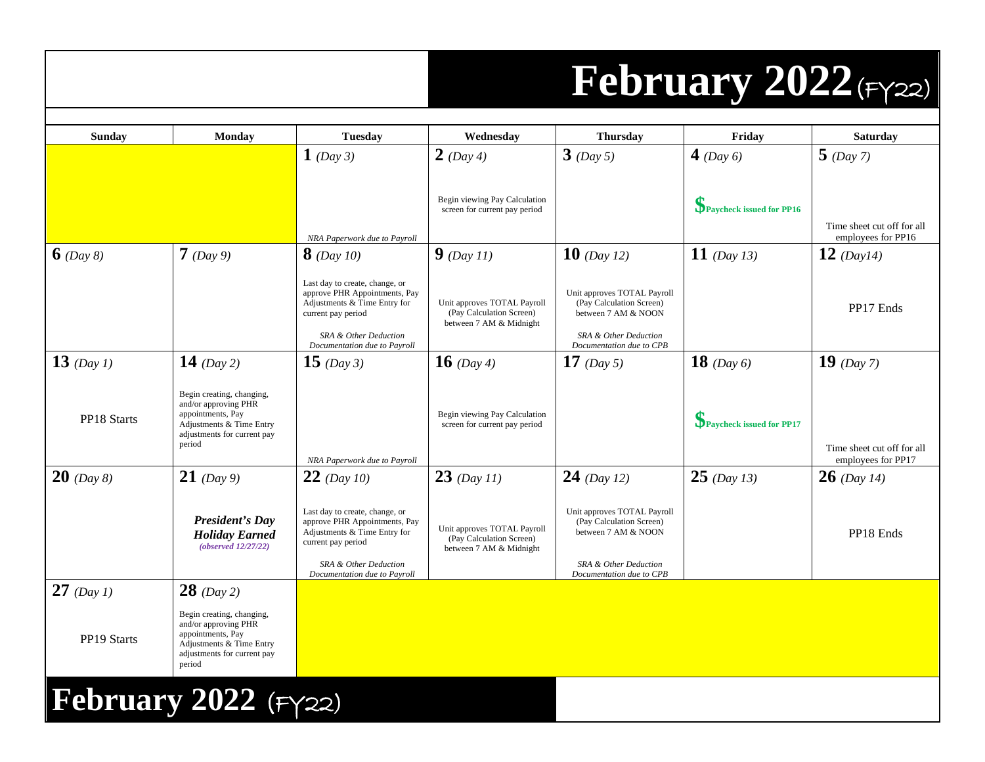## **February 2022**(FY22)

| Sunday       | Monday                                                                                                                                      | <b>Tuesday</b>                                                                                                                                                                 | Wednesday                                                                          | <b>Thursday</b>                                                                                                                     | Friday                   | <b>Saturday</b>                                  |
|--------------|---------------------------------------------------------------------------------------------------------------------------------------------|--------------------------------------------------------------------------------------------------------------------------------------------------------------------------------|------------------------------------------------------------------------------------|-------------------------------------------------------------------------------------------------------------------------------------|--------------------------|--------------------------------------------------|
|              |                                                                                                                                             | $1$ (Day 3)                                                                                                                                                                    | <b>2</b> (Day 4)                                                                   | $3$ (Day 5)                                                                                                                         | 4 (Day 6)                | $5$ (Day 7)                                      |
|              |                                                                                                                                             | NRA Paperwork due to Payroll                                                                                                                                                   | Begin viewing Pay Calculation<br>screen for current pay period                     |                                                                                                                                     | Paycheck issued for PP16 | Time sheet cut off for all<br>employees for PP16 |
| $6$ (Day 8)  | $7$ (Day 9)                                                                                                                                 | $8$ (Day 10)                                                                                                                                                                   | $9$ (Day 11)                                                                       | 10 (Day 12)                                                                                                                         | 11 (Day 13)              | 12 (Day14)                                       |
|              |                                                                                                                                             | Last day to create, change, or<br>approve PHR Appointments, Pay<br>Adjustments & Time Entry for<br>current pay period<br>SRA & Other Deduction<br>Documentation due to Payroll | Unit approves TOTAL Payroll<br>(Pay Calculation Screen)<br>between 7 AM & Midnight | Unit approves TOTAL Payroll<br>(Pay Calculation Screen)<br>between 7 AM & NOON<br>SRA & Other Deduction<br>Documentation due to CPB |                          | PP17 Ends                                        |
| 13 (Day 1)   | 14 (Day 2)                                                                                                                                  | 15 $(Day 3)$                                                                                                                                                                   | <b>16</b> (Day 4)                                                                  | 17 (Day 5)                                                                                                                          | <b>18</b> (Day 6)        | 19 (Day 7)                                       |
| PP18 Starts  | Begin creating, changing,<br>and/or approving PHR<br>appointments, Pay<br>Adjustments & Time Entry<br>adjustments for current pay<br>period | NRA Paperwork due to Payroll                                                                                                                                                   | Begin viewing Pay Calculation<br>screen for current pay period                     |                                                                                                                                     | Paycheck issued for PP17 | Time sheet cut off for all<br>employees for PP17 |
| $20$ (Day 8) | <b>21</b> (Day 9)                                                                                                                           | $22$ (Day 10)                                                                                                                                                                  | $23$ (Day 11)                                                                      | 24 (Day 12)                                                                                                                         | $25$ (Day 13)            | $26$ (Day 14)                                    |
|              | <b>President's Day</b><br><b>Holiday Earned</b><br>(observed 12/27/22)                                                                      | Last day to create, change, or<br>approve PHR Appointments, Pay<br>Adjustments & Time Entry for<br>current pay period<br>SRA & Other Deduction<br>Documentation due to Payroll | Unit approves TOTAL Payroll<br>(Pay Calculation Screen)<br>between 7 AM & Midnight | Unit approves TOTAL Payroll<br>(Pay Calculation Screen)<br>between 7 AM & NOON<br>SRA & Other Deduction<br>Documentation due to CPB |                          | PP18 Ends                                        |
| 27 (Day 1)   | $28$ (Day 2)                                                                                                                                |                                                                                                                                                                                |                                                                                    |                                                                                                                                     |                          |                                                  |
| PP19 Starts  | Begin creating, changing,<br>and/or approving PHR<br>appointments, Pay<br>Adjustments & Time Entry<br>adjustments for current pay<br>period |                                                                                                                                                                                |                                                                                    |                                                                                                                                     |                          |                                                  |
|              | February 2022 $(Fyzz)$                                                                                                                      |                                                                                                                                                                                |                                                                                    |                                                                                                                                     |                          |                                                  |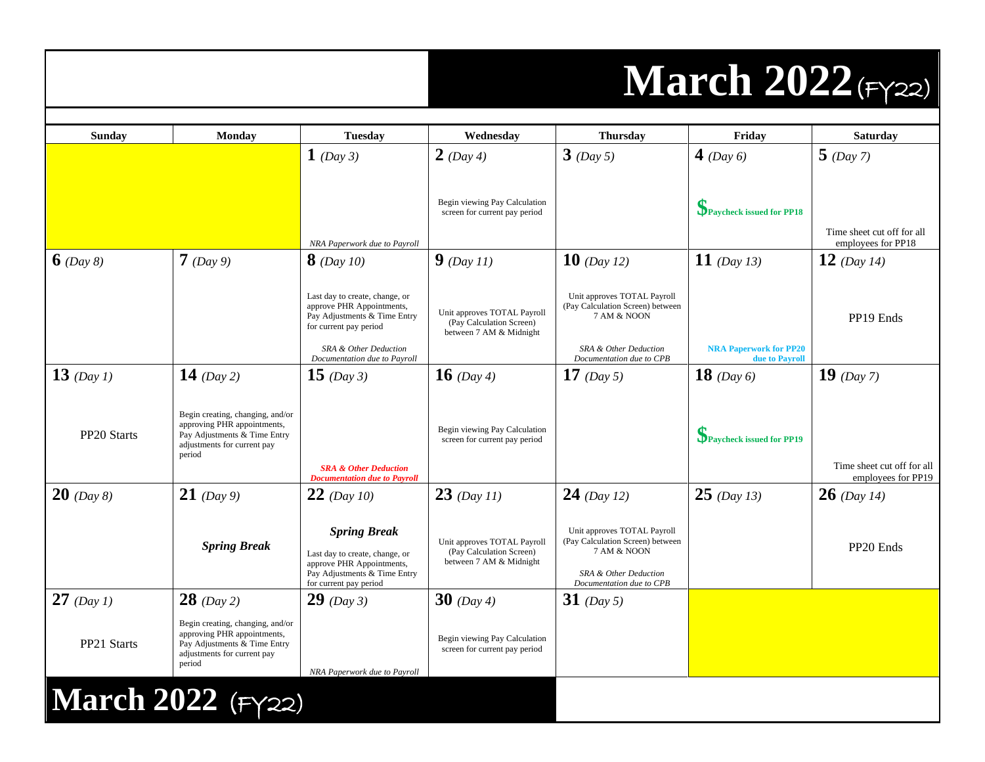### **March 2022**(FY22)

| <b>Sunday</b>  | Monday                                                                                                                                   | <b>Tuesday</b>                                                                                                                               | Wednesday                                                                          | <b>Thursday</b>                                                                                                                     | Friday                                          | <b>Saturday</b>                                  |
|----------------|------------------------------------------------------------------------------------------------------------------------------------------|----------------------------------------------------------------------------------------------------------------------------------------------|------------------------------------------------------------------------------------|-------------------------------------------------------------------------------------------------------------------------------------|-------------------------------------------------|--------------------------------------------------|
|                |                                                                                                                                          | $1$ (Day 3)                                                                                                                                  | $2$ (Day 4)                                                                        | $3$ (Day 5)                                                                                                                         | 4 (Day $6$ )                                    | $5$ (Day 7)                                      |
|                |                                                                                                                                          |                                                                                                                                              | Begin viewing Pay Calculation<br>screen for current pay period                     |                                                                                                                                     | Paycheck issued for PP18                        | Time sheet cut off for all                       |
| $6$ (Day 8)    | $7$ (Day 9)                                                                                                                              | NRA Paperwork due to Payroll<br><b>8</b> (Day 10)                                                                                            | $9$ (Day 11)                                                                       | <b>10</b> (Day 12)                                                                                                                  | 11 (Day 13)                                     | employees for PP18<br>12 (Day 14)                |
|                |                                                                                                                                          |                                                                                                                                              |                                                                                    |                                                                                                                                     |                                                 |                                                  |
|                |                                                                                                                                          | Last day to create, change, or<br>approve PHR Appointments,<br>Pay Adjustments & Time Entry<br>for current pay period                        | Unit approves TOTAL Payroll<br>(Pay Calculation Screen)<br>between 7 AM & Midnight | Unit approves TOTAL Payroll<br>(Pay Calculation Screen) between<br>7 AM & NOON                                                      |                                                 | PP19 Ends                                        |
|                |                                                                                                                                          | SRA & Other Deduction<br>Documentation due to Payroll                                                                                        |                                                                                    | SRA & Other Deduction<br>Documentation due to CPB                                                                                   | <b>NRA Paperwork for PP20</b><br>due to Payroll |                                                  |
| $13$ (Day 1)   | 14 $(Day 2)$                                                                                                                             | $15 \ (Day 3)$                                                                                                                               | <b>16</b> (Day 4)                                                                  | 17 $(Day 5)$                                                                                                                        | <b>18</b> (Day 6)                               | $19$ (Day 7)                                     |
| PP20 Starts    | Begin creating, changing, and/or<br>approving PHR appointments,<br>Pay Adjustments & Time Entry<br>adjustments for current pay<br>period | <b>SRA &amp; Other Deduction</b><br><b>Documentation due to Payroll</b>                                                                      | Begin viewing Pay Calculation<br>screen for current pay period                     |                                                                                                                                     | Paycheck issued for PP19                        | Time sheet cut off for all<br>employees for PP19 |
| $20 \ (Day 8)$ | $21$ (Day 9)                                                                                                                             | $22$ (Day 10)                                                                                                                                | $23$ (Day 11)                                                                      | $24$ (Day 12)                                                                                                                       | $25$ (Day 13)                                   | $26$ (Day 14)                                    |
|                | <b>Spring Break</b>                                                                                                                      | <b>Spring Break</b><br>Last day to create, change, or<br>approve PHR Appointments,<br>Pay Adjustments & Time Entry<br>for current pay period | Unit approves TOTAL Payroll<br>(Pay Calculation Screen)<br>between 7 AM & Midnight | Unit approves TOTAL Payroll<br>(Pay Calculation Screen) between<br>7 AM & NOON<br>SRA & Other Deduction<br>Documentation due to CPB |                                                 | PP20 Ends                                        |
| $27$ (Day 1)   | $28$ (Day 2)                                                                                                                             | $29$ (Day 3)                                                                                                                                 | <b>30</b> (Day 4)                                                                  | 31 (Day 5)                                                                                                                          |                                                 |                                                  |
| PP21 Starts    | Begin creating, changing, and/or<br>approving PHR appointments,<br>Pay Adjustments & Time Entry<br>adjustments for current pay<br>period | NRA Paperwork due to Payroll                                                                                                                 | Begin viewing Pay Calculation<br>screen for current pay period                     |                                                                                                                                     |                                                 |                                                  |
|                | <b>March 2022</b> (FY22)                                                                                                                 |                                                                                                                                              |                                                                                    |                                                                                                                                     |                                                 |                                                  |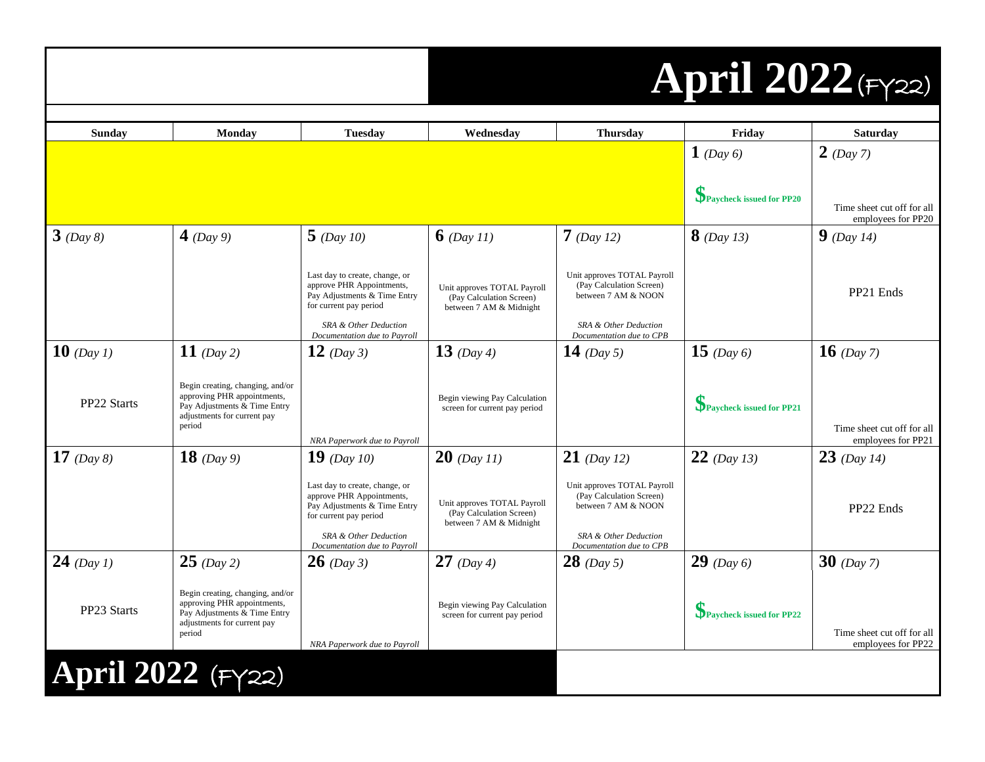# **April 2022**(FY22)

| <b>Sunday</b>       | Monday                                                                                                                                   | <b>Tuesday</b>                                                                                                                                                                 | Wednesday                                                                          | <b>Thursday</b>                                                                                                                     | Friday                   | <b>Saturday</b>                                  |
|---------------------|------------------------------------------------------------------------------------------------------------------------------------------|--------------------------------------------------------------------------------------------------------------------------------------------------------------------------------|------------------------------------------------------------------------------------|-------------------------------------------------------------------------------------------------------------------------------------|--------------------------|--------------------------------------------------|
|                     |                                                                                                                                          |                                                                                                                                                                                |                                                                                    |                                                                                                                                     | $1$ (Day 6)              | $2$ (Day 7)                                      |
|                     |                                                                                                                                          |                                                                                                                                                                                |                                                                                    |                                                                                                                                     | Paycheck issued for PP20 | Time sheet cut off for all<br>employees for PP20 |
| $3$ (Day 8)         | 4 (Day 9)                                                                                                                                | $5$ (Day 10)                                                                                                                                                                   | $6$ (Day 11)                                                                       | $7$ (Day 12)                                                                                                                        | $8$ (Day 13)             | $9$ (Day 14)                                     |
|                     |                                                                                                                                          | Last day to create, change, or<br>approve PHR Appointments,<br>Pay Adjustments & Time Entry<br>for current pay period<br>SRA & Other Deduction<br>Documentation due to Payroll | Unit approves TOTAL Payroll<br>(Pay Calculation Screen)<br>between 7 AM & Midnight | Unit approves TOTAL Payroll<br>(Pay Calculation Screen)<br>between 7 AM & NOON<br>SRA & Other Deduction<br>Documentation due to CPB |                          | PP21 Ends                                        |
| <b>10</b> (Day 1)   | 11 (Day 2)                                                                                                                               | 12 (Day 3)                                                                                                                                                                     | 13 $(Day 4)$                                                                       | 14 (Day 5)                                                                                                                          | 15 (Day 6)               | <b>16</b> (Day 7)                                |
| PP22 Starts         | Begin creating, changing, and/or<br>approving PHR appointments,<br>Pay Adjustments & Time Entry<br>adjustments for current pay<br>period | NRA Paperwork due to Payroll                                                                                                                                                   | Begin viewing Pay Calculation<br>screen for current pay period                     |                                                                                                                                     | Paycheck issued for PP21 | Time sheet cut off for all<br>employees for PP21 |
| 17 $(Day 8)$        | 18 $(Day 9)$                                                                                                                             | 19 (Day 10)                                                                                                                                                                    | $20$ (Day 11)                                                                      | <b>21</b> (Day 12)                                                                                                                  | $22$ (Day 13)            | $23$ (Day 14)                                    |
|                     |                                                                                                                                          | Last day to create, change, or<br>approve PHR Appointments,<br>Pay Adjustments & Time Entry<br>for current pay period<br>SRA & Other Deduction<br>Documentation due to Payroll | Unit approves TOTAL Payroll<br>(Pay Calculation Screen)<br>between 7 AM & Midnight | Unit approves TOTAL Payroll<br>(Pay Calculation Screen)<br>between 7 AM & NOON<br>SRA & Other Deduction<br>Documentation due to CPB |                          | PP22 Ends                                        |
| 24 (Day 1)          | $25$ (Day 2)                                                                                                                             | $26$ (Day 3)                                                                                                                                                                   | 27 (Day 4)                                                                         | $28$ (Day 5)                                                                                                                        | $29$ (Day 6)             | $30$ (Day 7)                                     |
| PP23 Starts         | Begin creating, changing, and/or<br>approving PHR appointments,<br>Pay Adjustments & Time Entry<br>adjustments for current pay<br>period | NRA Paperwork due to Payroll                                                                                                                                                   | Begin viewing Pay Calculation<br>screen for current pay period                     |                                                                                                                                     | Paycheck issued for PP22 | Time sheet cut off for all<br>employees for PP22 |
| April 2022 $(Fyzz)$ |                                                                                                                                          |                                                                                                                                                                                |                                                                                    |                                                                                                                                     |                          |                                                  |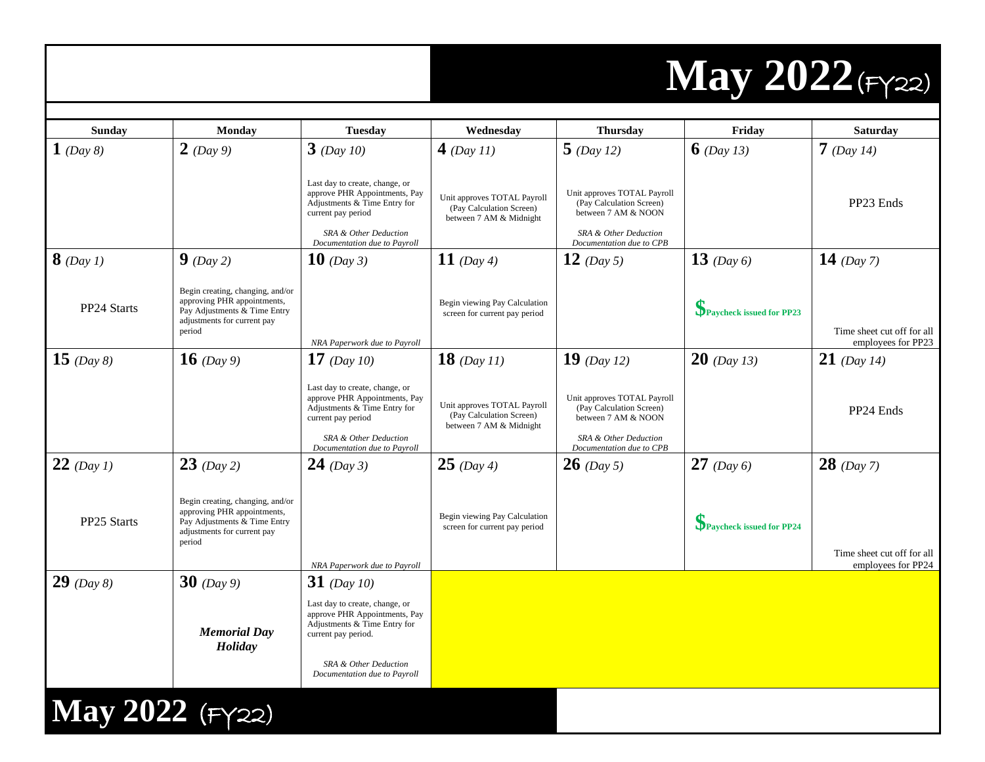# **May 2022**(FY22)

| <b>Sunday</b>     | <b>Monday</b>                                                                                                                            | <b>Tuesday</b>                                                                                                                                                                  | Wednesday                                                                          | <b>Thursday</b>                                                                                                                     | Friday                   | Saturday                                         |
|-------------------|------------------------------------------------------------------------------------------------------------------------------------------|---------------------------------------------------------------------------------------------------------------------------------------------------------------------------------|------------------------------------------------------------------------------------|-------------------------------------------------------------------------------------------------------------------------------------|--------------------------|--------------------------------------------------|
| $1$ (Day 8)       | $2$ (Day 9)                                                                                                                              | $3$ (Day 10)                                                                                                                                                                    | 4 (Day 11)                                                                         | $5$ (Day 12)                                                                                                                        | 6 (Day 13)               | $7$ (Day 14)                                     |
|                   |                                                                                                                                          | Last day to create, change, or<br>approve PHR Appointments, Pay<br>Adjustments & Time Entry for<br>current pay period<br>SRA & Other Deduction<br>Documentation due to Payroll  | Unit approves TOTAL Payroll<br>(Pay Calculation Screen)<br>between 7 AM & Midnight | Unit approves TOTAL Payroll<br>(Pay Calculation Screen)<br>between 7 AM & NOON<br>SRA & Other Deduction<br>Documentation due to CPB |                          | PP23 Ends                                        |
| $8$ (Day 1)       | $9$ (Day 2)                                                                                                                              | <b>10</b> (Day 3)                                                                                                                                                               | 11 $(Day 4)$                                                                       | $12$ (Day 5)                                                                                                                        | $13$ (Day 6)             | 14 (Day 7)                                       |
| PP24 Starts       | Begin creating, changing, and/or<br>approving PHR appointments,<br>Pay Adjustments & Time Entry<br>adjustments for current pay<br>period | NRA Paperwork due to Payroll                                                                                                                                                    | Begin viewing Pay Calculation<br>screen for current pay period                     |                                                                                                                                     | Paycheck issued for PP23 | Time sheet cut off for all<br>employees for PP23 |
| 15 (Day 8)        | <b>16</b> (Day 9)                                                                                                                        | 17 (Day 10)                                                                                                                                                                     | $18$ (Day 11)                                                                      | 19 $(Day 12)$                                                                                                                       | $20$ (Day 13)            | $21$ (Day 14)                                    |
|                   |                                                                                                                                          | Last day to create, change, or<br>approve PHR Appointments, Pay<br>Adjustments & Time Entry for<br>current pay period<br>SRA & Other Deduction<br>Documentation due to Payroll  | Unit approves TOTAL Payroll<br>(Pay Calculation Screen)<br>between 7 AM & Midnight | Unit approves TOTAL Payroll<br>(Pay Calculation Screen)<br>between 7 AM & NOON<br>SRA & Other Deduction<br>Documentation due to CPB |                          | PP24 Ends                                        |
| $22$ (Day 1)      | $23$ (Day 2)                                                                                                                             | 24 (Day 3)                                                                                                                                                                      | $25$ (Day 4)                                                                       | <b>26</b> (Day 5)                                                                                                                   | <b>27</b> (Day 6)        | $28$ (Day 7)                                     |
| PP25 Starts       | Begin creating, changing, and/or<br>approving PHR appointments,<br>Pay Adjustments & Time Entry<br>adjustments for current pay<br>period |                                                                                                                                                                                 | Begin viewing Pay Calculation<br>screen for current pay period                     |                                                                                                                                     | Paycheck issued for PP24 |                                                  |
|                   |                                                                                                                                          | NRA Paperwork due to Payroll                                                                                                                                                    |                                                                                    |                                                                                                                                     |                          | Time sheet cut off for all<br>employees for PP24 |
| <b>29</b> (Day 8) | 30 $(Day 9)$                                                                                                                             | 31 (Day 10)                                                                                                                                                                     |                                                                                    |                                                                                                                                     |                          |                                                  |
|                   | <b>Memorial Day</b><br>Holiday                                                                                                           | Last day to create, change, or<br>approve PHR Appointments, Pay<br>Adjustments & Time Entry for<br>current pay period.<br>SRA & Other Deduction<br>Documentation due to Payroll |                                                                                    |                                                                                                                                     |                          |                                                  |
| May 2022 (FY22)   |                                                                                                                                          |                                                                                                                                                                                 |                                                                                    |                                                                                                                                     |                          |                                                  |